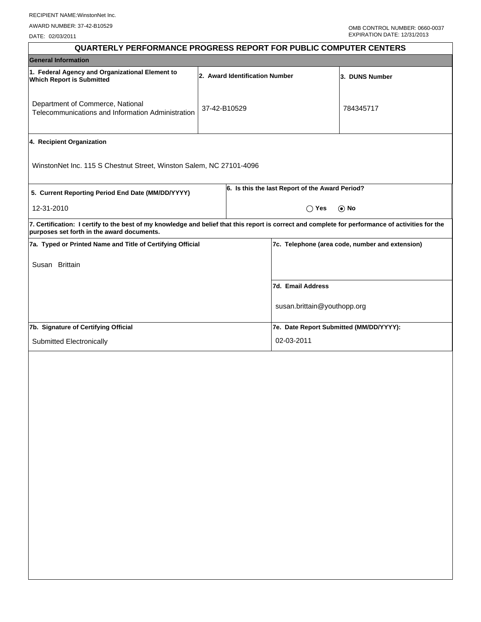DATE: 02/03/2011

| <b>QUARTERLY PERFORMANCE PROGRESS REPORT FOR PUBLIC COMPUTER CENTERS</b>                                                                                                                        |              |                                                 |                                                 |  |  |
|-------------------------------------------------------------------------------------------------------------------------------------------------------------------------------------------------|--------------|-------------------------------------------------|-------------------------------------------------|--|--|
| <b>General Information</b>                                                                                                                                                                      |              |                                                 |                                                 |  |  |
| 1. Federal Agency and Organizational Element to<br><b>Which Report is Submitted</b>                                                                                                             |              | 2. Award Identification Number                  | 3. DUNS Number                                  |  |  |
| Department of Commerce, National<br>Telecommunications and Information Administration                                                                                                           | 37-42-B10529 |                                                 | 784345717                                       |  |  |
| 4. Recipient Organization                                                                                                                                                                       |              |                                                 |                                                 |  |  |
| WinstonNet Inc. 115 S Chestnut Street, Winston Salem, NC 27101-4096                                                                                                                             |              |                                                 |                                                 |  |  |
| 5. Current Reporting Period End Date (MM/DD/YYYY)                                                                                                                                               |              | 6. Is this the last Report of the Award Period? |                                                 |  |  |
| 12-31-2010                                                                                                                                                                                      |              | $\bigcirc$ Yes                                  | $\odot$ No                                      |  |  |
| 7. Certification: I certify to the best of my knowledge and belief that this report is correct and complete for performance of activities for the<br>purposes set forth in the award documents. |              |                                                 |                                                 |  |  |
| 7a. Typed or Printed Name and Title of Certifying Official                                                                                                                                      |              |                                                 | 7c. Telephone (area code, number and extension) |  |  |
| Susan Brittain                                                                                                                                                                                  |              |                                                 |                                                 |  |  |
|                                                                                                                                                                                                 |              | 7d. Email Address                               |                                                 |  |  |
|                                                                                                                                                                                                 |              | susan.brittain@youthopp.org                     |                                                 |  |  |
| 7b. Signature of Certifying Official                                                                                                                                                            |              | 7e. Date Report Submitted (MM/DD/YYYY):         |                                                 |  |  |
| Submitted Electronically                                                                                                                                                                        |              | 02-03-2011                                      |                                                 |  |  |
|                                                                                                                                                                                                 |              |                                                 |                                                 |  |  |
|                                                                                                                                                                                                 |              |                                                 |                                                 |  |  |
|                                                                                                                                                                                                 |              |                                                 |                                                 |  |  |
|                                                                                                                                                                                                 |              |                                                 |                                                 |  |  |
|                                                                                                                                                                                                 |              |                                                 |                                                 |  |  |
|                                                                                                                                                                                                 |              |                                                 |                                                 |  |  |
|                                                                                                                                                                                                 |              |                                                 |                                                 |  |  |
|                                                                                                                                                                                                 |              |                                                 |                                                 |  |  |
|                                                                                                                                                                                                 |              |                                                 |                                                 |  |  |
|                                                                                                                                                                                                 |              |                                                 |                                                 |  |  |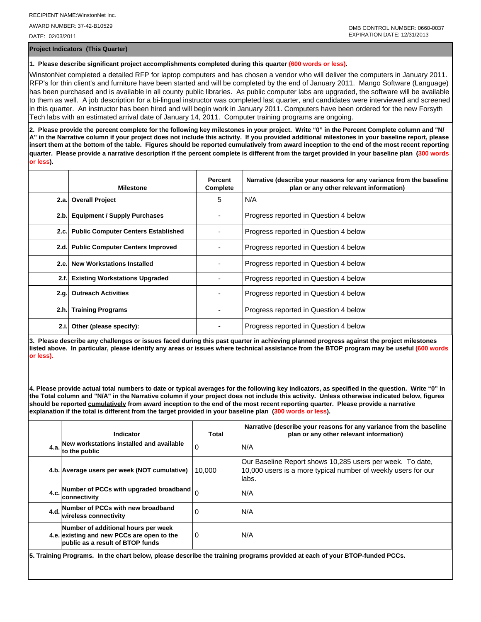AWARD NUMBER: 37-42-B10529 DATE: 02/03/2011

**Project Indicators (This Quarter)**

## **1. Please describe significant project accomplishments completed during this quarter (600 words or less).**

WinstonNet completed a detailed RFP for laptop computers and has chosen a vendor who will deliver the computers in January 2011. RFP's for thin client's and furniture have been started and will be completed by the end of January 2011. Mango Software (Language) has been purchased and is available in all county public libraries. As public computer labs are upgraded, the software will be available to them as well. A job description for a bi-lingual instructor was completed last quarter, and candidates were interviewed and screened in this quarter. An instructor has been hired and will begin work in January 2011. Computers have been ordered for the new Forsyth Tech labs with an estimated arrival date of January 14, 2011. Computer training programs are ongoing.

**2. Please provide the percent complete for the following key milestones in your project. Write "0" in the Percent Complete column and "N/ A" in the Narrative column if your project does not include this activity. If you provided additional milestones in your baseline report, please insert them at the bottom of the table. Figures should be reported cumulatively from award inception to the end of the most recent reporting quarter. Please provide a narrative description if the percent complete is different from the target provided in your baseline plan (300 words or less).**

|      | <b>Milestone</b>                         | <b>Percent</b><br>Complete | Narrative (describe your reasons for any variance from the baseline<br>plan or any other relevant information) |
|------|------------------------------------------|----------------------------|----------------------------------------------------------------------------------------------------------------|
|      | 2.a. Overall Project                     | 5                          | N/A                                                                                                            |
| 2.b. | <b>Equipment / Supply Purchases</b>      |                            | Progress reported in Question 4 below                                                                          |
|      | 2.c. Public Computer Centers Established |                            | Progress reported in Question 4 below                                                                          |
| 2.d. | <b>Public Computer Centers Improved</b>  |                            | Progress reported in Question 4 below                                                                          |
| 2.e. | <b>New Workstations Installed</b>        |                            | Progress reported in Question 4 below                                                                          |
| 2.f. | <b>Existing Workstations Upgraded</b>    |                            | Progress reported in Question 4 below                                                                          |
| 2.q. | <b>Outreach Activities</b>               |                            | Progress reported in Question 4 below                                                                          |
| 2.h. | <b>Training Programs</b>                 |                            | Progress reported in Question 4 below                                                                          |
| 2.i. | Other (please specify):                  |                            | Progress reported in Question 4 below                                                                          |

**3. Please describe any challenges or issues faced during this past quarter in achieving planned progress against the project milestones listed above. In particular, please identify any areas or issues where technical assistance from the BTOP program may be useful (600 words or less).**

**4. Please provide actual total numbers to date or typical averages for the following key indicators, as specified in the question. Write "0" in the Total column and "N/A" in the Narrative column if your project does not include this activity. Unless otherwise indicated below, figures should be reported cumulatively from award inception to the end of the most recent reporting quarter. Please provide a narrative explanation if the total is different from the target provided in your baseline plan (300 words or less).** 

|                                                                                                                            | Indicator                                                                                                                    | <b>Total</b> | Narrative (describe your reasons for any variance from the baseline<br>plan or any other relevant information)                      |  |  |  |
|----------------------------------------------------------------------------------------------------------------------------|------------------------------------------------------------------------------------------------------------------------------|--------------|-------------------------------------------------------------------------------------------------------------------------------------|--|--|--|
|                                                                                                                            | New workstations installed and available<br>$4.a.$ to the public                                                             | 0            | N/A                                                                                                                                 |  |  |  |
|                                                                                                                            | 4.b. Average users per week (NOT cumulative)                                                                                 | 10.000       | Our Baseline Report shows 10,285 users per week. To date,<br>10,000 users is a more typical number of weekly users for our<br>labs. |  |  |  |
|                                                                                                                            | 4.c. Number of PCCs with upgraded broadband $\Big _0$<br><b>connectivity</b>                                                 |              | N/A                                                                                                                                 |  |  |  |
|                                                                                                                            | 4.d. Number of PCCs with new broadband<br>lwireless connectivitv                                                             | 0            | N/A                                                                                                                                 |  |  |  |
|                                                                                                                            | Number of additional hours per week<br>4.e. existing and new PCCs are open to the<br><b>public as a result of BTOP funds</b> | $\Omega$     | N/A                                                                                                                                 |  |  |  |
| 5. Training Programs . In the chart below, please describe the training programs provided at each of your RTOP-funded PCCs |                                                                                                                              |              |                                                                                                                                     |  |  |  |

**5. Training Programs. In the chart below, please describe the training programs provided at each of your BTOP-funded PCCs.**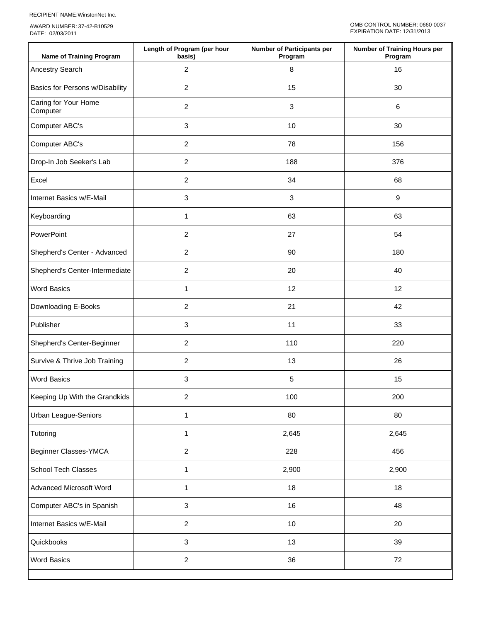RECIPIENT NAME:WinstonNet Inc.

AWARD NUMBER: 37-42-B10529 DATE: 02/03/2011

| <b>Name of Training Program</b>  | Length of Program (per hour<br>basis) | <b>Number of Participants per</b><br>Program | <b>Number of Training Hours per</b><br>Program |  |  |
|----------------------------------|---------------------------------------|----------------------------------------------|------------------------------------------------|--|--|
| Ancestry Search                  | $\overline{c}$                        | $\,8\,$                                      | 16                                             |  |  |
| Basics for Persons w/Disability  | $\overline{c}$                        | 15                                           | 30                                             |  |  |
| Caring for Your Home<br>Computer | $\overline{c}$                        | 3                                            | $\,6\,$                                        |  |  |
| Computer ABC's                   | 3                                     | 10                                           | 30                                             |  |  |
| Computer ABC's                   | $\overline{2}$                        | 78                                           | 156                                            |  |  |
| Drop-In Job Seeker's Lab         | $\overline{c}$                        | 188                                          | 376                                            |  |  |
| Excel                            | $\overline{2}$                        | 34                                           | 68                                             |  |  |
| Internet Basics w/E-Mail         | 3                                     | 3                                            | $\boldsymbol{9}$                               |  |  |
| Keyboarding                      | $\mathbf{1}$                          | 63                                           | 63                                             |  |  |
| PowerPoint                       | $\overline{2}$                        | 27                                           | 54                                             |  |  |
| Shepherd's Center - Advanced     | 2                                     | 90                                           | 180                                            |  |  |
| Shepherd's Center-Intermediate   | 2                                     | 20                                           | 40                                             |  |  |
| <b>Word Basics</b>               | 1                                     | 12                                           | 12                                             |  |  |
| Downloading E-Books              | 2                                     | 21                                           | 42                                             |  |  |
| Publisher                        | 3                                     | 11                                           | 33                                             |  |  |
| Shepherd's Center-Beginner       | 2                                     | 110                                          | 220                                            |  |  |
| Survive & Thrive Job Training    | $\overline{c}$                        | 13                                           | 26                                             |  |  |
| <b>Word Basics</b>               | 3                                     | 5                                            | 15                                             |  |  |
| Keeping Up With the Grandkids    | $\overline{c}$                        | 100                                          | 200                                            |  |  |
| Urban League-Seniors             | $\mathbf{1}$                          | 80                                           | 80                                             |  |  |
| Tutoring                         | $\mathbf{1}$                          | 2,645                                        | 2,645                                          |  |  |
| Beginner Classes-YMCA            | $\overline{c}$                        | 228                                          | 456                                            |  |  |
| School Tech Classes              | $\mathbf{1}$                          | 2,900                                        | 2,900                                          |  |  |
| Advanced Microsoft Word          | $\mathbf{1}$                          | 18                                           | 18                                             |  |  |
| Computer ABC's in Spanish        | 3                                     | 16                                           | 48                                             |  |  |
| Internet Basics w/E-Mail         | $\overline{a}$                        | 10                                           | 20                                             |  |  |
| Quickbooks                       | $\mathbf{3}$                          | 13                                           | 39                                             |  |  |
| <b>Word Basics</b>               | $\overline{c}$                        | 36                                           | 72                                             |  |  |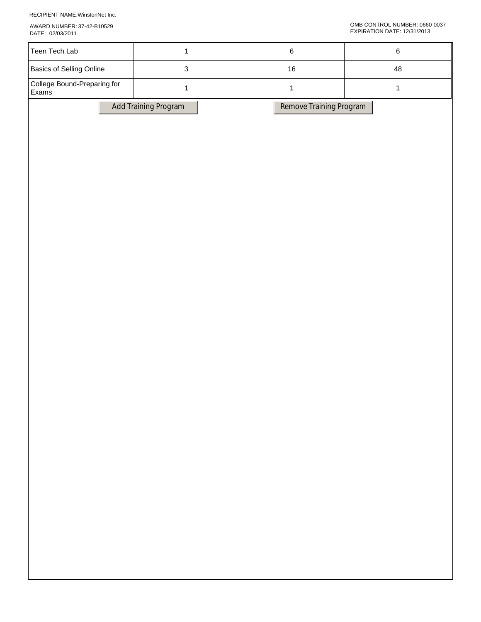RECIPIENT NAME:WinstonNet Inc.

AWARD NUMBER: 37-42-B10529

| DATE: 02/03/2011                     |                      |                         | EXPIRATION DATE: 12/31/2013 |  |
|--------------------------------------|----------------------|-------------------------|-----------------------------|--|
| Teen Tech Lab                        | $\mathbf{1}$         | $\,6\,$                 | $\,6$                       |  |
| Basics of Selling Online             | $\mathbf{3}$         | $16\,$                  | 48<br>$\mathbf{1}$          |  |
| College Bound-Preparing for<br>Exams | $\mathbf{1}$         | $\mathbf{1}$            |                             |  |
|                                      | Add Training Program | Remove Training Program |                             |  |
|                                      |                      |                         |                             |  |
|                                      |                      |                         |                             |  |
|                                      |                      |                         |                             |  |
|                                      |                      |                         |                             |  |
|                                      |                      |                         |                             |  |
|                                      |                      |                         |                             |  |
|                                      |                      |                         |                             |  |
|                                      |                      |                         |                             |  |
|                                      |                      |                         |                             |  |
|                                      |                      |                         |                             |  |
|                                      |                      |                         |                             |  |
|                                      |                      |                         |                             |  |
|                                      |                      |                         |                             |  |
|                                      |                      |                         |                             |  |
|                                      |                      |                         |                             |  |
|                                      |                      |                         |                             |  |
|                                      |                      |                         |                             |  |
|                                      |                      |                         |                             |  |
|                                      |                      |                         |                             |  |
|                                      |                      |                         |                             |  |
|                                      |                      |                         |                             |  |
|                                      |                      |                         |                             |  |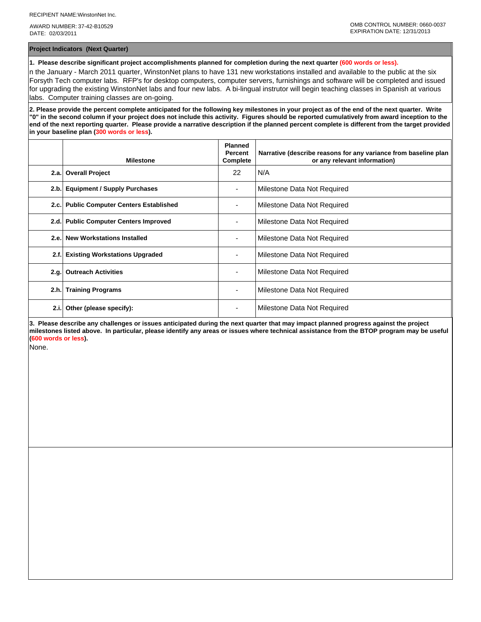AWARD NUMBER: 37-42-B10529 DATE: 02/03/2011

**Project Indicators (Next Quarter)**

**1. Please describe significant project accomplishments planned for completion during the next quarter (600 words or less).**

n the January - March 2011 quarter, WinstonNet plans to have 131 new workstations installed and available to the public at the six Forsyth Tech computer labs. RFP's for desktop computers, computer servers, furnishings and software will be completed and issued for upgrading the existing WinstonNet labs and four new labs. A bi-lingual instrutor will begin teaching classes in Spanish at various labs. Computer training classes are on-going.

**2. Please provide the percent complete anticipated for the following key milestones in your project as of the end of the next quarter. Write "0" in the second column if your project does not include this activity. Figures should be reported cumulatively from award inception to the end of the next reporting quarter. Please provide a narrative description if the planned percent complete is different from the target provided in your baseline plan (300 words or less).**

|      | <b>Milestone</b>                         | <b>Planned</b><br><b>Percent</b><br>Complete | Narrative (describe reasons for any variance from baseline plan<br>or any relevant information) |
|------|------------------------------------------|----------------------------------------------|-------------------------------------------------------------------------------------------------|
|      | 2.a. Overall Project                     | 22                                           | N/A                                                                                             |
|      | 2.b. Equipment / Supply Purchases        |                                              | Milestone Data Not Required                                                                     |
|      | 2.c. Public Computer Centers Established |                                              | Milestone Data Not Required                                                                     |
|      | 2.d. Public Computer Centers Improved    |                                              | Milestone Data Not Required                                                                     |
|      | 2.e. New Workstations Installed          | $\overline{\phantom{0}}$                     | Milestone Data Not Required                                                                     |
| 2.f. | <b>Existing Workstations Upgraded</b>    |                                              | Milestone Data Not Required                                                                     |
| 2.g. | <b>Outreach Activities</b>               |                                              | Milestone Data Not Required                                                                     |
|      | 2.h. Training Programs                   | ٠                                            | Milestone Data Not Required                                                                     |
| 2.i. | Other (please specify):                  | ٠                                            | Milestone Data Not Required                                                                     |

**3. Please describe any challenges or issues anticipated during the next quarter that may impact planned progress against the project milestones listed above. In particular, please identify any areas or issues where technical assistance from the BTOP program may be useful (600 words or less).**

None.